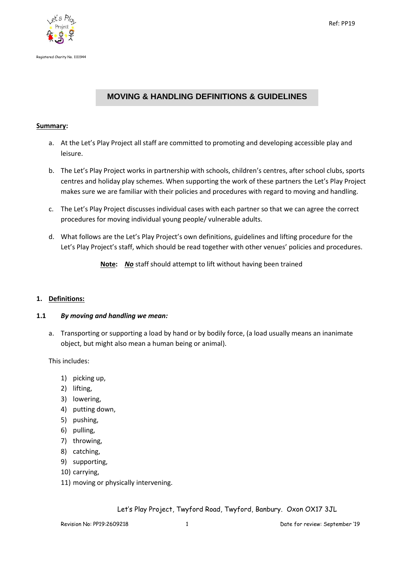Ref: PP19



# **MOVING & HANDLING DEFINITIONS & GUIDELINES**

#### **Summary:**

- a. At the Let's Play Project all staff are committed to promoting and developing accessible play and leisure.
- b. The Let's Play Project works in partnership with schools, children's centres, after school clubs, sports centres and holiday play schemes. When supporting the work of these partners the Let's Play Project makes sure we are familiar with their policies and procedures with regard to moving and handling.
- c. The Let's Play Project discusses individual cases with each partner so that we can agree the correct procedures for moving individual young people/ vulnerable adults.
- d. What follows are the Let's Play Project's own definitions, guidelines and lifting procedure for the Let's Play Project's staff, which should be read together with other venues' policies and procedures.
	- **Note:** *No* staff should attempt to lift without having been trained

#### **1. Definitions:**

#### **1.1** *By moving and handling we mean:*

a. Transporting or supporting a load by hand or by bodily force, (a load usually means an inanimate object, but might also mean a human being or animal).

This includes:

- 1) picking up,
- 2) lifting,
- 3) lowering,
- 4) putting down,
- 5) pushing,
- 6) pulling,
- 7) throwing,
- 8) catching,
- 9) supporting,
- 10) carrying,
- 11) moving or physically intervening.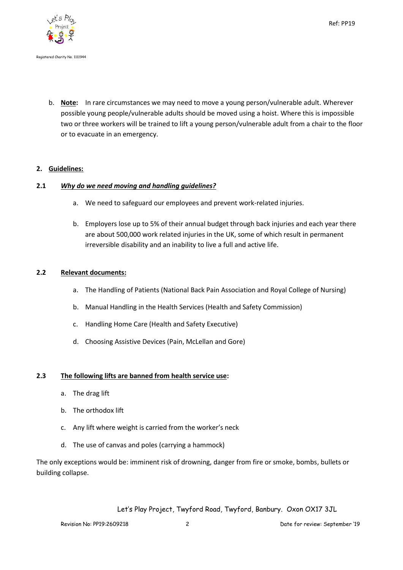

b. **Note:** In rare circumstances we may need to move a young person/vulnerable adult. Wherever possible young people/vulnerable adults should be moved using a hoist. Where this is impossible two or three workers will be trained to lift a young person/vulnerable adult from a chair to the floor or to evacuate in an emergency.

### **2. Guidelines:**

## **2.1** *Why do we need moving and handling guidelines?*

- a. We need to safeguard our employees and prevent work-related injuries.
- b. Employers lose up to 5% of their annual budget through back injuries and each year there are about 500,000 work related injuries in the UK, some of which result in permanent irreversible disability and an inability to live a full and active life.

### **2.2 Relevant documents:**

- a. The Handling of Patients (National Back Pain Association and Royal College of Nursing)
- b. Manual Handling in the Health Services (Health and Safety Commission)
- c. Handling Home Care (Health and Safety Executive)
- d. Choosing Assistive Devices (Pain, McLellan and Gore)

### **2.3 The following lifts are banned from health service use:**

- a. The drag lift
- b. The orthodox lift
- c. Any lift where weight is carried from the worker's neck
- d. The use of canvas and poles (carrying a hammock)

The only exceptions would be: imminent risk of drowning, danger from fire or smoke, bombs, bullets or building collapse.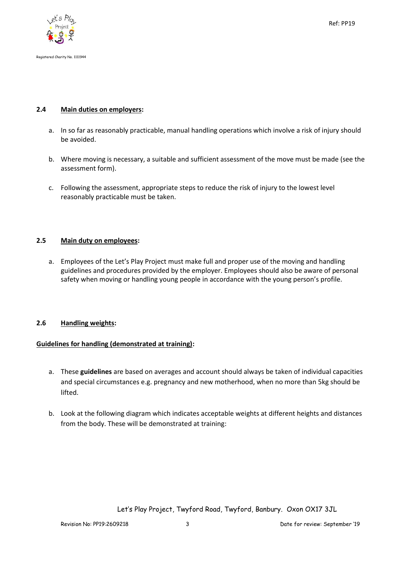

### **2.4 Main duties on employers:**

- a. In so far as reasonably practicable, manual handling operations which involve a risk of injury should be avoided.
- b. Where moving is necessary, a suitable and sufficient assessment of the move must be made (see the assessment form).
- c. Following the assessment, appropriate steps to reduce the risk of injury to the lowest level reasonably practicable must be taken.

#### **2.5 Main duty on employees:**

a. Employees of the Let's Play Project must make full and proper use of the moving and handling guidelines and procedures provided by the employer. Employees should also be aware of personal safety when moving or handling young people in accordance with the young person's profile.

#### **2.6 Handling weights:**

### **Guidelines for handling (demonstrated at training):**

- a. These **guidelines** are based on averages and account should always be taken of individual capacities and special circumstances e.g. pregnancy and new motherhood, when no more than 5kg should be lifted.
- b. Look at the following diagram which indicates acceptable weights at different heights and distances from the body. These will be demonstrated at training: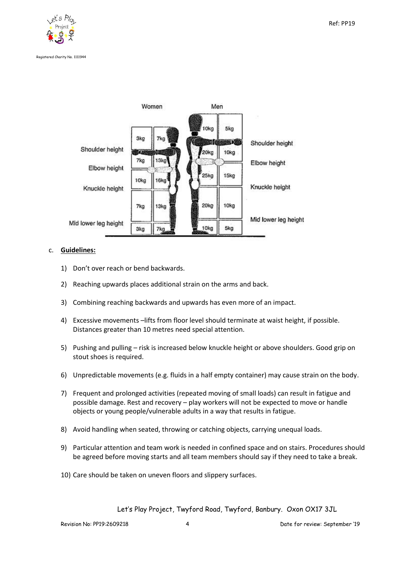



#### c. **Guidelines:**

- 1) Don't over reach or bend backwards.
- 2) Reaching upwards places additional strain on the arms and back.
- 3) Combining reaching backwards and upwards has even more of an impact.
- 4) Excessive movements –lifts from floor level should terminate at waist height, if possible. Distances greater than 10 metres need special attention.
- 5) Pushing and pulling risk is increased below knuckle height or above shoulders. Good grip on stout shoes is required.
- 6) Unpredictable movements (e.g. fluids in a half empty container) may cause strain on the body.
- 7) Frequent and prolonged activities (repeated moving of small loads) can result in fatigue and possible damage. Rest and recovery – play workers will not be expected to move or handle objects or young people/vulnerable adults in a way that results in fatigue.
- 8) Avoid handling when seated, throwing or catching objects, carrying unequal loads.
- 9) Particular attention and team work is needed in confined space and on stairs. Procedures should be agreed before moving starts and all team members should say if they need to take a break.
- 10) Care should be taken on uneven floors and slippery surfaces.